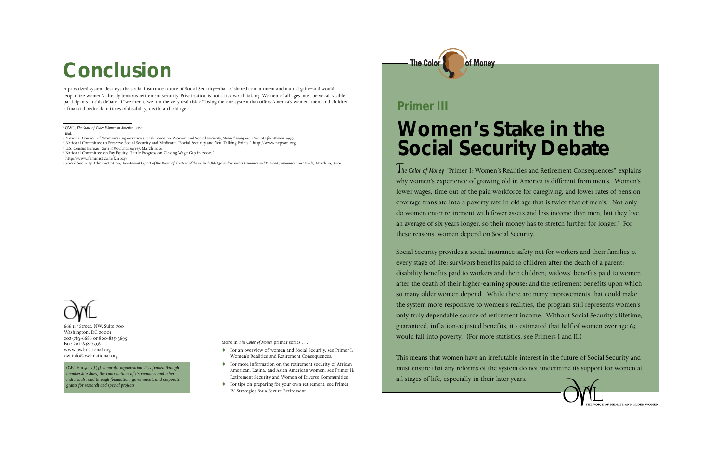## **Women's Stake in the Social Security Debate**

*The Color of Money* "Primer I: Women's Realities and Retirement Consequences" explains why women's experience of growing old in America is different from men's. Women's lower wages, time out of the paid workforce for caregiving, and lower rates of pension coverage translate into a poverty rate in old age that is twice that of men's.<sup>1</sup> Not only do women enter retirement with fewer assets and less income than men, but they live an average of six years longer, so their money has to stretch further for longer.2 For these reasons, women depend on Social Security.

Social Security provides a social insurance safety net for workers and their families at every stage of life: survivors benefits paid to children after the death of a parent; disability benefits paid to workers and their children; widows' benefits paid to women after the death of their higher-earning spouse; and the retirement benefits upon which so many older women depend. While there are many improvements that could make the system more responsive to women's realities, the program still represents women's only truly dependable source of retirement income. Without Social Security's lifetime, guaranteed, inflation-adjusted benefits, it's estimated that half of women over age 65 would fall into poverty. (For more statistics, see Primers I and II.)

This means that women have an irrefutable interest in the future of Social Security and must ensure that any reforms of the system do not undermine its support for women at all stages of life, especially in their later years.



### **Primer III**

A privatized system destroys the social insurance nature of Social Security—that of shared commitment and mutual gain—and would jeopardize women's already tenuous retirement security. Privatization is not a risk worth taking. Women of all ages must be vocal, visible participants in this debate. If we aren't, we run the very real risk of losing the one system that offers America's women, men, and children a financial bedrock in times of disability, death, and old age.



*OWL is a 501(c)(3) nonprofit organization. It is funded through membership dues, the contributions of its members and other individuals, and through foundation, government, and corporate*

*grants for research and special projects.*

More in *The Color of Money* primer series . . .

- ♦ For an overview of women and Social Security, see Primer I: Women's Realities and Retirement Consequences.
- ♦ For more information on the retirement security of African American, Latina, and Asian American women, see Primer II: Retirement Security and Women of Diverse Communities.
- ♦ For tips on preparing for your own retirement, see Primer IV: Strategies for a Secure Retirement.



## **Conclusion**

- 4 National Committee to Preserve Social Security and Medicare, "Social Security and You: Talking Points," http://www.ncpssm.org.
- 5 U.S. Census Bureau, *Current Population Survey*, March 2001.
- 6 National Committee on Pay Equity, "Little Progress on Closing Wage Gap in 2000,"
- http://www.feminist.com/fairpay/.
- 7 Social Security Administration, *2001 Annual Report of the Board of Trustees of the Federal Old-Age and Survivors Insurance and Disability Insurance Trust Funds*, March 19, 2001.

<sup>1</sup> OWL, *The State of Older Women in America*, 2001.

<sup>2</sup> *Ibid.*

<sup>3</sup> National Council of Women's Organizations, Task Force on Women and Social Security, *Strengthening Social Security for Women*, 1999.